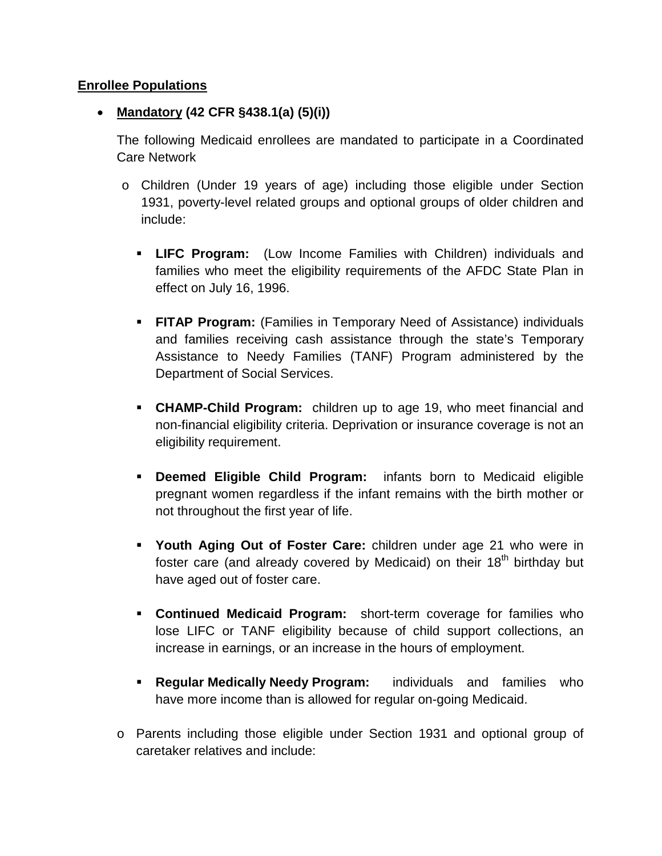## **Enrollee Populations**

## • **Mandatory (42 CFR §438.1(a) (5)(i))**

The following Medicaid enrollees are mandated to participate in a Coordinated Care Network

- o Children (Under 19 years of age) including those eligible under Section 1931, poverty-level related groups and optional groups of older children and include:
	- **LIFC Program:** (Low Income Families with Children) individuals and families who meet the eligibility requirements of the AFDC State Plan in effect on July 16, 1996.
	- **FITAP Program:** (Families in Temporary Need of Assistance) individuals and families receiving cash assistance through the state's Temporary Assistance to Needy Families (TANF) Program administered by the Department of Social Services.
	- **CHAMP-Child Program:** children up to age 19, who meet financial and non-financial eligibility criteria. Deprivation or insurance coverage is not an eligibility requirement.
	- **Deemed Eligible Child Program:** infants born to Medicaid eligible pregnant women regardless if the infant remains with the birth mother or not throughout the first year of life.
	- **Youth Aging Out of Foster Care:** children under age 21 who were in foster care (and already covered by Medicaid) on their 18<sup>th</sup> birthday but have aged out of foster care.
	- **Continued Medicaid Program:** short-term coverage for families who lose LIFC or TANF eligibility because of child support collections, an increase in earnings, or an increase in the hours of employment.
	- **Regular Medically Needy Program:** individuals and families who have more income than is allowed for regular on-going Medicaid.
- o Parents including those eligible under Section 1931 and optional group of caretaker relatives and include: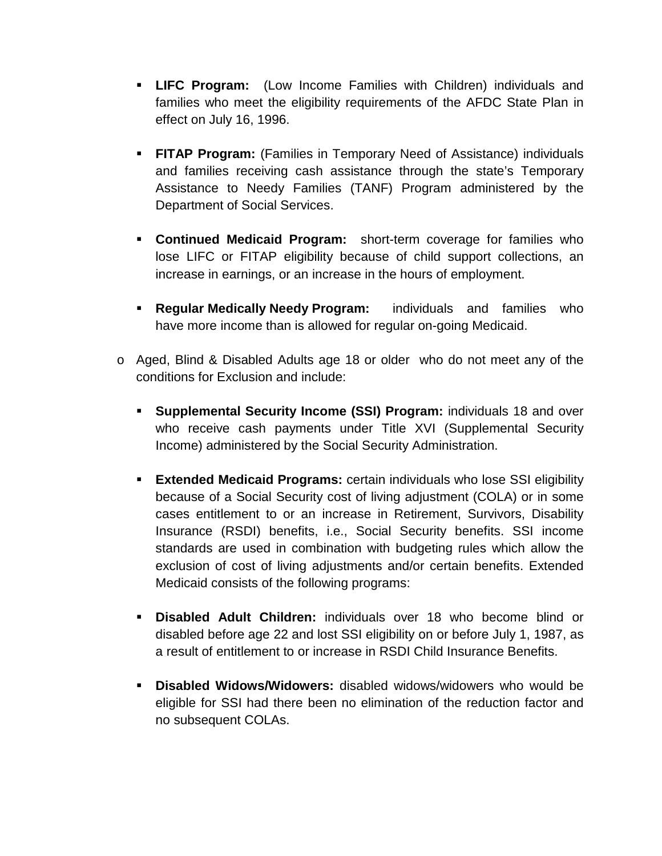- **LIFC Program:** (Low Income Families with Children) individuals and families who meet the eligibility requirements of the AFDC State Plan in effect on July 16, 1996.
- **FITAP Program:** (Families in Temporary Need of Assistance) individuals and families receiving cash assistance through the state's Temporary Assistance to Needy Families (TANF) Program administered by the Department of Social Services.
- **Continued Medicaid Program:** short-term coverage for families who lose LIFC or FITAP eligibility because of child support collections, an increase in earnings, or an increase in the hours of employment.
- **Regular Medically Needy Program:** individuals and families who have more income than is allowed for regular on-going Medicaid.
- o Aged, Blind & Disabled Adults age 18 or older who do not meet any of the conditions for Exclusion and include:
	- **Supplemental Security Income (SSI) Program:** individuals 18 and over who receive cash payments under Title XVI (Supplemental Security Income) administered by the Social Security Administration.
	- **Extended Medicaid Programs:** certain individuals who lose SSI eligibility because of a Social Security cost of living adjustment (COLA) or in some cases entitlement to or an increase in Retirement, Survivors, Disability Insurance (RSDI) benefits, i.e., Social Security benefits. SSI income standards are used in combination with budgeting rules which allow the exclusion of cost of living adjustments and/or certain benefits. Extended Medicaid consists of the following programs:
	- **Disabled Adult Children:** individuals over 18 who become blind or disabled before age 22 and lost SSI eligibility on or before July 1, 1987, as a result of entitlement to or increase in RSDI Child Insurance Benefits.
	- **Disabled Widows/Widowers:** disabled widows/widowers who would be eligible for SSI had there been no elimination of the reduction factor and no subsequent COLAs.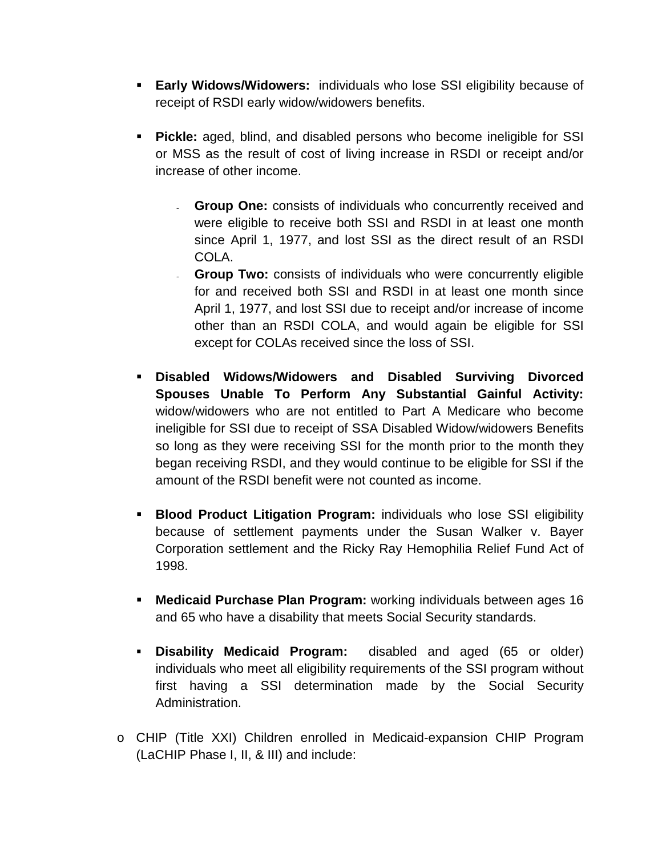- **Early Widows/Widowers:** individuals who lose SSI eligibility because of receipt of RSDI early widow/widowers benefits.
- **Pickle:** aged, blind, and disabled persons who become ineligible for SSI or MSS as the result of cost of living increase in RSDI or receipt and/or increase of other income.
	- **Group One:** consists of individuals who concurrently received and were eligible to receive both SSI and RSDI in at least one month since April 1, 1977, and lost SSI as the direct result of an RSDI COLA.
	- **Group Two:** consists of individuals who were concurrently eligible for and received both SSI and RSDI in at least one month since April 1, 1977, and lost SSI due to receipt and/or increase of income other than an RSDI COLA, and would again be eligible for SSI except for COLAs received since the loss of SSI.
- **Disabled Widows/Widowers and Disabled Surviving Divorced Spouses Unable To Perform Any Substantial Gainful Activity:** widow/widowers who are not entitled to Part A Medicare who become ineligible for SSI due to receipt of SSA Disabled Widow/widowers Benefits so long as they were receiving SSI for the month prior to the month they began receiving RSDI, and they would continue to be eligible for SSI if the amount of the RSDI benefit were not counted as income.
- **Blood Product Litigation Program:** individuals who lose SSI eligibility because of settlement payments under the Susan Walker v. Bayer Corporation settlement and the Ricky Ray Hemophilia Relief Fund Act of 1998.
- **Medicaid Purchase Plan Program:** working individuals between ages 16 and 65 who have a disability that meets Social Security standards.
- **Disability Medicaid Program:** disabled and aged (65 or older) individuals who meet all eligibility requirements of the SSI program without first having a SSI determination made by the Social Security Administration.
- o CHIP (Title XXI) Children enrolled in Medicaid-expansion CHIP Program (LaCHIP Phase I, II, & III) and include: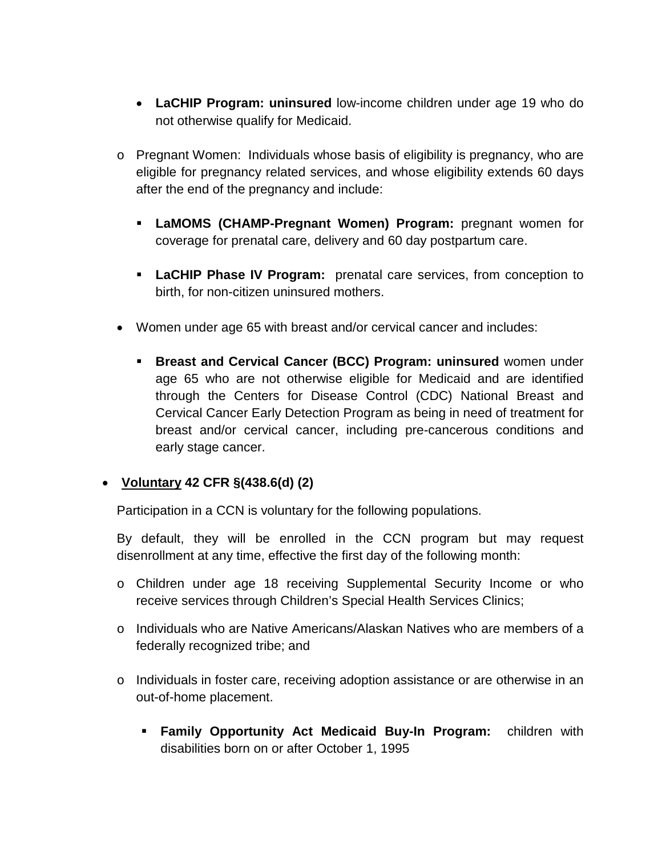- **LaCHIP Program: uninsured** low-income children under age 19 who do not otherwise qualify for Medicaid.
- o Pregnant Women: Individuals whose basis of eligibility is pregnancy, who are eligible for pregnancy related services, and whose eligibility extends 60 days after the end of the pregnancy and include:
	- **LaMOMS (CHAMP-Pregnant Women) Program:** pregnant women for coverage for prenatal care, delivery and 60 day postpartum care.
	- **LaCHIP Phase IV Program:** prenatal care services, from conception to birth, for non-citizen uninsured mothers.
- Women under age 65 with breast and/or cervical cancer and includes:
	- **Breast and Cervical Cancer (BCC) Program: uninsured** women under age 65 who are not otherwise eligible for Medicaid and are identified through the Centers for Disease Control (CDC) National Breast and Cervical Cancer Early Detection Program as being in need of treatment for breast and/or cervical cancer, including pre-cancerous conditions and early stage cancer.

## • **Voluntary 42 CFR §(438.6(d) (2)**

Participation in a CCN is voluntary for the following populations.

By default, they will be enrolled in the CCN program but may request disenrollment at any time, effective the first day of the following month:

- o Children under age 18 receiving Supplemental Security Income or who receive services through Children's Special Health Services Clinics;
- o Individuals who are Native Americans/Alaskan Natives who are members of a federally recognized tribe; and
- o Individuals in foster care, receiving adoption assistance or are otherwise in an out-of-home placement.
	- **Family Opportunity Act Medicaid Buy-In Program:** children with disabilities born on or after October 1, 1995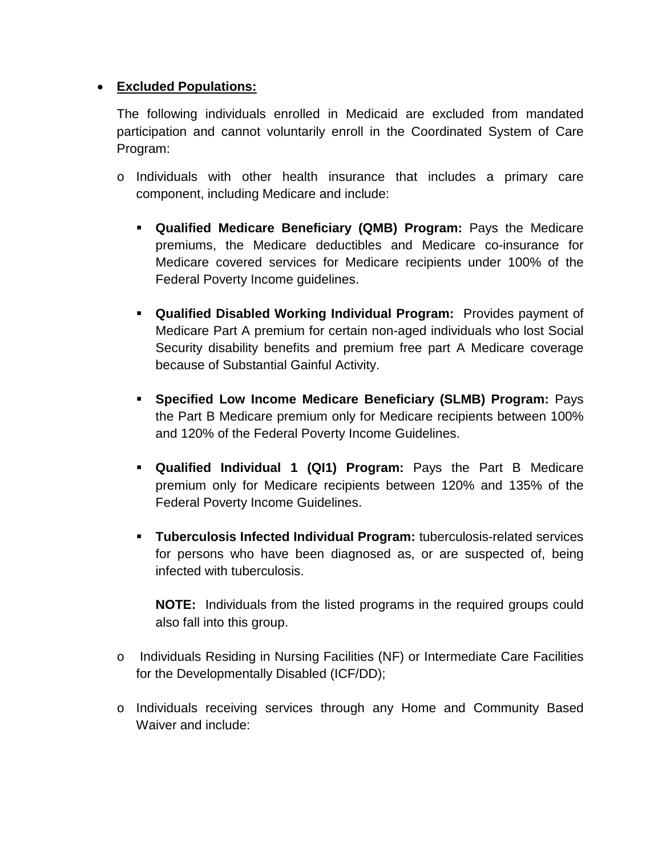## • **Excluded Populations:**

The following individuals enrolled in Medicaid are excluded from mandated participation and cannot voluntarily enroll in the Coordinated System of Care Program:

- o Individuals with other health insurance that includes a primary care component, including Medicare and include:
	- **Qualified Medicare Beneficiary (QMB) Program:** Pays the Medicare premiums, the Medicare deductibles and Medicare co-insurance for Medicare covered services for Medicare recipients under 100% of the Federal Poverty Income guidelines.
	- **Qualified Disabled Working Individual Program:** Provides payment of Medicare Part A premium for certain non-aged individuals who lost Social Security disability benefits and premium free part A Medicare coverage because of Substantial Gainful Activity.
	- **Specified Low Income Medicare Beneficiary (SLMB) Program:** Pays the Part B Medicare premium only for Medicare recipients between 100% and 120% of the Federal Poverty Income Guidelines.
	- **Qualified Individual 1 (QI1) Program:** Pays the Part B Medicare premium only for Medicare recipients between 120% and 135% of the Federal Poverty Income Guidelines.
	- **Tuberculosis Infected Individual Program:** tuberculosis-related services for persons who have been diagnosed as, or are suspected of, being infected with tuberculosis.

**NOTE:** Individuals from the listed programs in the required groups could also fall into this group.

- o Individuals Residing in Nursing Facilities (NF) or Intermediate Care Facilities for the Developmentally Disabled (ICF/DD);
- o Individuals receiving services through any Home and Community Based Waiver and include: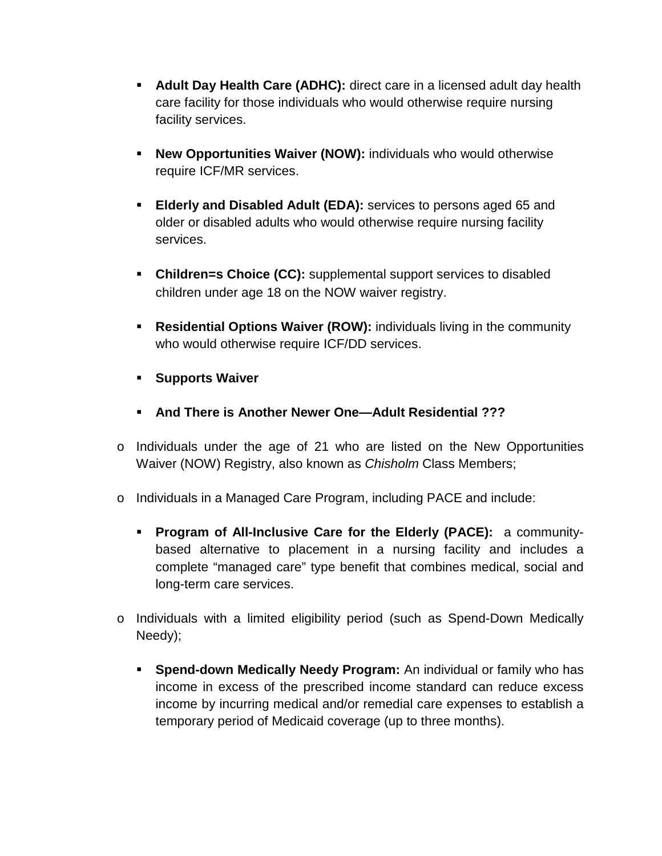- **Adult Day Health Care (ADHC):** direct care in a licensed adult day health care facility for those individuals who would otherwise require nursing facility services.
- **New Opportunities Waiver (NOW):** individuals who would otherwise require ICF/MR services.
- **Elderly and Disabled Adult (EDA):** services to persons aged 65 and older or disabled adults who would otherwise require nursing facility services.
- **Children=s Choice (CC):** supplemental support services to disabled children under age 18 on the NOW waiver registry.
- **Residential Options Waiver (ROW):** individuals living in the community who would otherwise require ICF/DD services.
- **Supports Waiver**
- **And There is Another Newer One—Adult Residential ???**
- o Individuals under the age of 21 who are listed on the New Opportunities Waiver (NOW) Registry, also known as *Chisholm* Class Members;
- o Individuals in a Managed Care Program, including PACE and include:
	- **Program of All-Inclusive Care for the Elderly (PACE):** a communitybased alternative to placement in a nursing facility and includes a complete "managed care" type benefit that combines medical, social and long-term care services.
- o Individuals with a limited eligibility period (such as Spend-Down Medically Needy);
	- **Spend-down Medically Needy Program:** An individual or family who has income in excess of the prescribed income standard can reduce excess income by incurring medical and/or remedial care expenses to establish a temporary period of Medicaid coverage (up to three months).